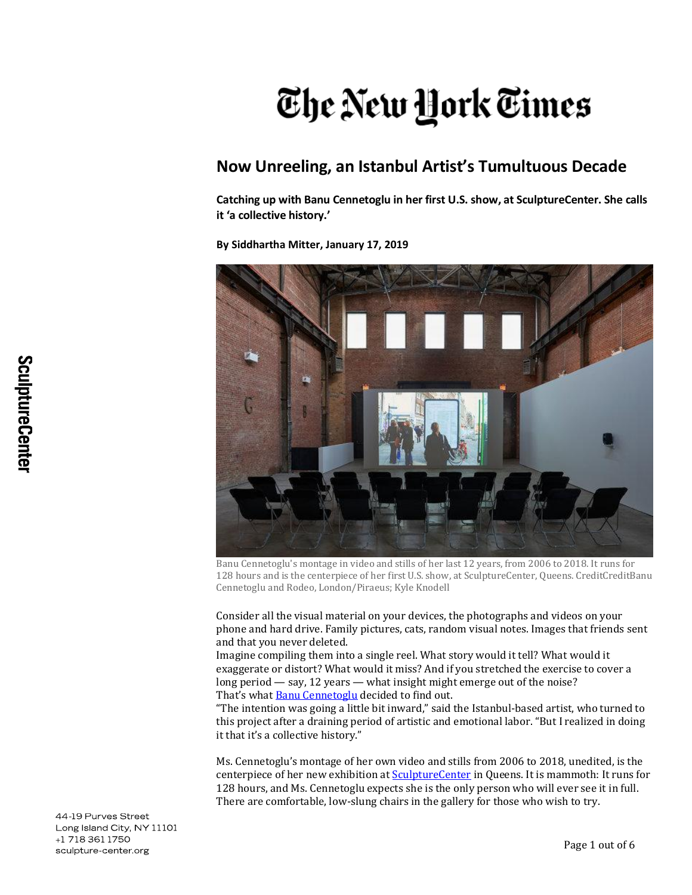## The New York Times

## **Now Unreeling, an Istanbul Artist's Tumultuous Decade**

**Catching up with Banu Cennetoglu in her first U.S. show, at SculptureCenter. She calls it 'a collective history.'**

**By Siddhartha Mitter, January 17, 2019**



Banu Cennetoglu's montage in video and stills of her last 12 years, from 2006 to 2018. It runs for 128 hours and is the centerpiece of her first U.S. show, at SculptureCenter, Queens. CreditCreditBanu Cennetoglu and Rodeo, London/Piraeus; Kyle Knodell

Consider all the visual material on your devices, the photographs and videos on your phone and hard drive. Family pictures, cats, random visual notes. Images that friends sent and that you never deleted.

Imagine compiling them into a single reel. What story would it tell? What would it exaggerate or distort? What would it miss? And if you stretched the exercise to cover a long period — say, 12 years — what insight might emerge out of the noise? That's what **[Banu Cennetoglu](https://www.nytimes.com/2013/02/22/arts/design/frozen-lakes.html?module=inline)** decided to find out.

"The intention was going a little bit inward," said the Istanbul-based artist, who turned to this project after a draining period of artistic and emotional labor. "But I realized in doing it that it's a collective history."

Ms. Cennetoglu's montage of her own video and stills from 2006 to 2018, unedited, is the centerpiece of her new exhibition at [SculptureCenter](http://www.sculpture-center.org/) in Queens. It is mammoth: It runs for 128 hours, and Ms. Cennetoglu expects she is the only person who will ever see it in full. There are comfortable, low-slung chairs in the gallery for those who wish to try.

44-19 Purves Street Long Island City, NY 11101 +1 718 361 1750 sculpture-center.org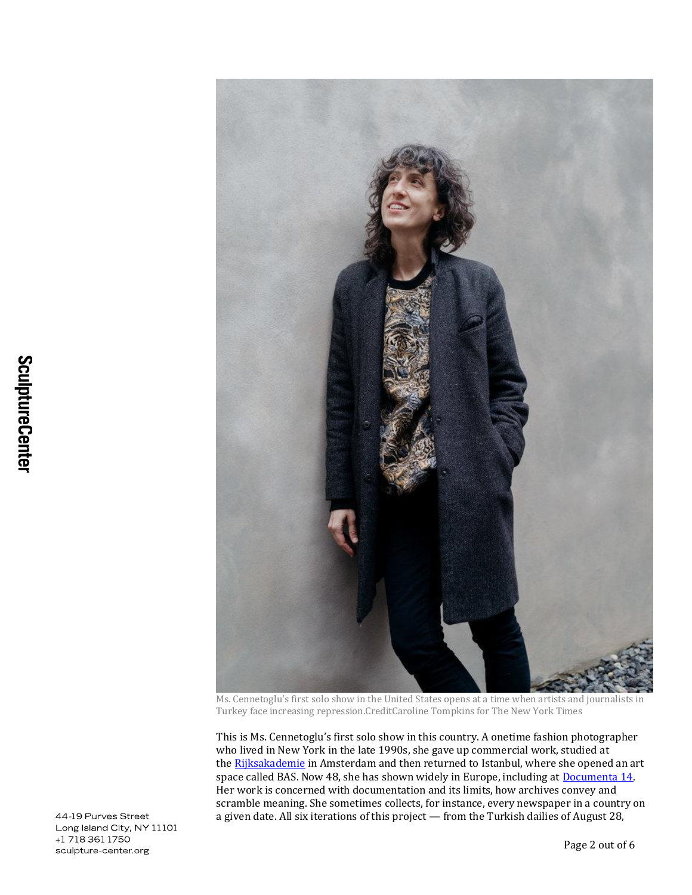



Ms. Cennetoglu's first solo show in the United States opens at a time when artists and journalists in Turkey face increasing repression.CreditCaroline Tompkins for The New York Times

This is Ms. Cennetoglu's first solo show in this country. A onetime fashion photographer who lived in New York in the late 1990s, she gave up commercial work, studied at the [Rijksakademie](https://www.rijksakademie.nl/ENG/) in Amsterdam and then returned to Istanbul, where she opened an art space called BAS. Now 48, she has shown widely in Europe, including at [Documenta 14.](https://www.documenta14.de/en/) Her work is concerned with documentation and its limits, how archives convey and scramble meaning. She sometimes collects, for instance, every newspaper in a country on a given date. All six iterations of this project — from the Turkish dailies of August 28,

44-19 Purves Street Long Island City, NY 11101 +1 718 361 1750 sculpture-center.org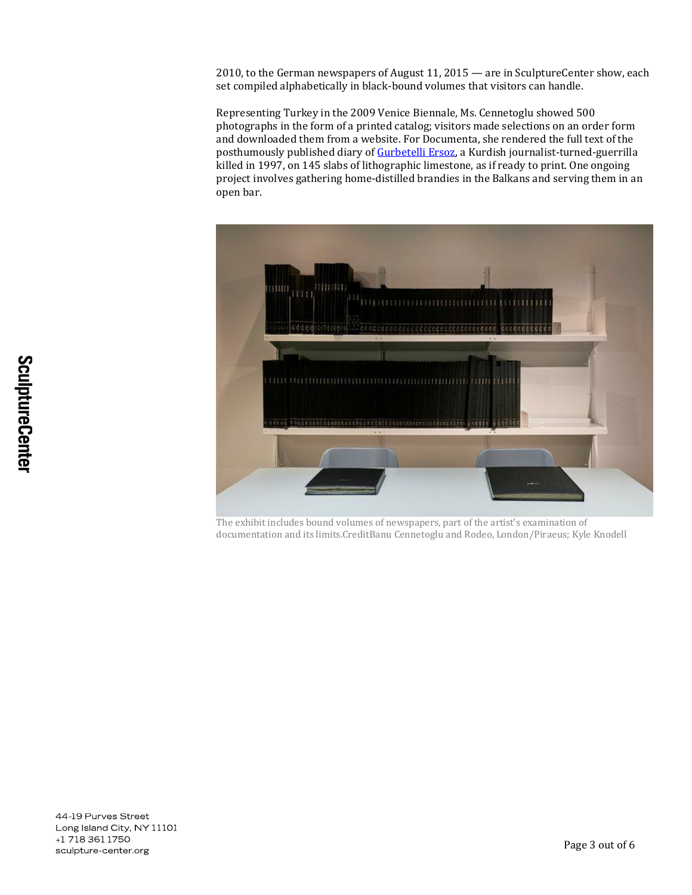2010, to the German newspapers of August 11, 2015 — are in SculptureCenter show, each set compiled alphabetically in black-bound volumes that visitors can handle.

Representing Turkey in the 2009 Venice Biennale, Ms. Cennetoglu showed 500 photographs in the form of a printed catalog; visitors made selections on an order form and downloaded them from a website. For Documenta, she rendered the full text of the posthumously published diary of [Gurbetelli Ersoz,](https://www.documenta14.de/en/calendar/23768/diaries-as-a-space-of-histories) a Kurdish journalist-turned-guerrilla killed in 1997, on 145 slabs of lithographic limestone, as if ready to print. One ongoing project involves gathering home-distilled brandies in the Balkans and serving them in an open bar.



The exhibit includes bound volumes of newspapers, part of the artist's examination of documentation and its limits.CreditBanu Cennetoglu and Rodeo, London/Piraeus; Kyle Knodell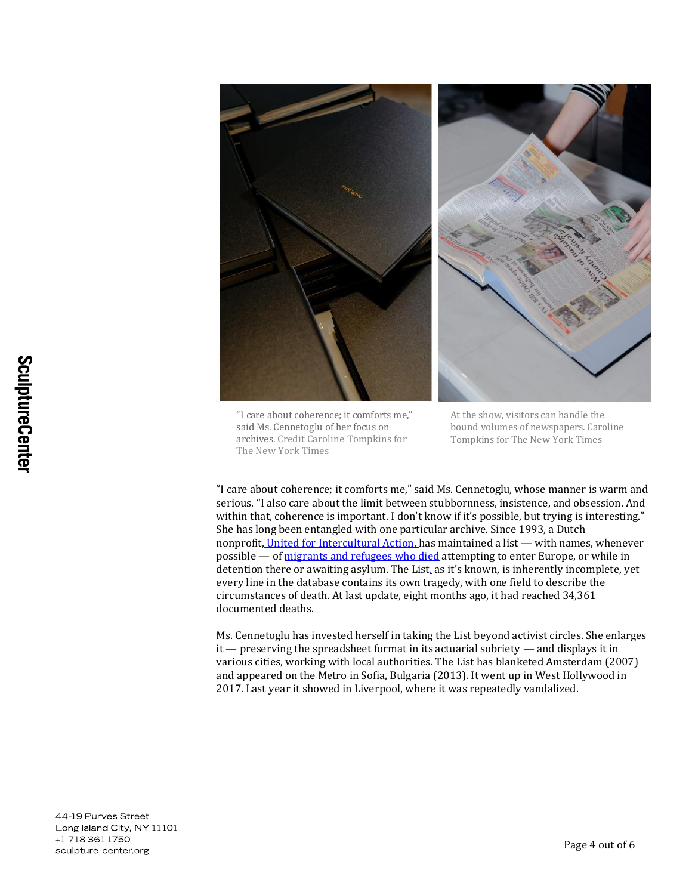

"I care about coherence; it comforts me," said Ms. Cennetoglu of her focus on archives. Credit Caroline Tompkins for The New York Times

At the show, visitors can handle the bound volumes of newspapers. Caroline Tompkins for The New York Times

"I care about coherence; it comforts me," said Ms. Cennetoglu, whose manner is warm and serious. "I also care about the limit between stubbornness, insistence, and obsession. And within that, coherence is important. I don't know if it's possible, but trying is interesting." She has long been entangled with one particular archive. Since 1993, a Dutch nonprofit, [United for Intercultural Action,](http://www.unitedagainstracism.org/campaigns/refugee-campaign/working-with-the-list-of-deaths/) has maintained a list — with names, whenever possible — of [migrants and refugees](http://www.unitedagainstracism.org/wp-content/uploads/2017/06/UNITED-List-of-Deaths-30Sep18-35597final.pdf) [who died](http://www.unitedagainstracism.org/wp-content/uploads/2014/02/list-of-deaths-sept-2019.png) attempting to enter Europe, or while in detention there or awaiting asylum. The Lis[t,](https://uploads.guim.co.uk/2018/06/19/TheList.pdf) as it's known, is inherently incomplete, yet every line in the database contains its own tragedy, with one field to describe the circumstances of death. At last update, eight months ago, it had reached 34,361 documented deaths.

Ms. Cennetoglu has invested herself in taking the List beyond activist circles. She enlarges it — preserving the spreadsheet format in its actuarial sobriety — and displays it in various cities, working with local authorities. The List has blanketed Amsterdam (2007) and appeared on the Metro in Sofia, Bulgaria (2013). It went up in West Hollywood in 2017. Last year it showed in Liverpool, where it was repeatedly vandalized.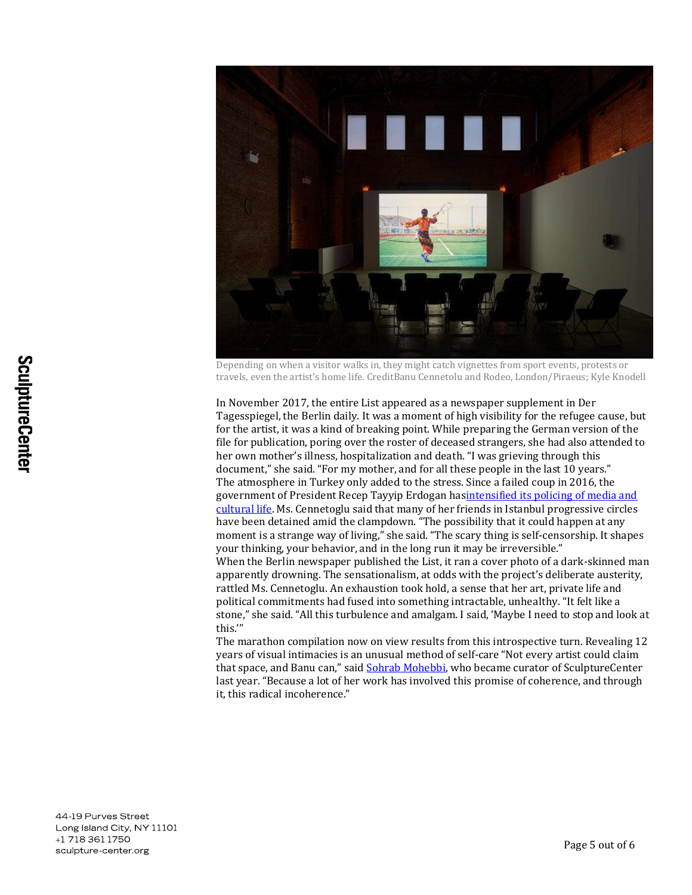

Depending on when a visitor walks in, they might catch vignettes from sport events, protests or travels, even the artist's home life. CreditBanu Cennetolu and Rodeo, London/Piraeus; Kyle Knodell

In November 2017, the entire List appeared as a newspaper supplement in Der Tagesspiegel, the Berlin daily. It was a moment of high visibility for the refugee cause, but for the artist, it was a kind of breaking point. While preparing the German version of the file for publication, poring over the roster of deceased strangers, she had also attended to her own mother's illness, hospitalization and death. "I was grieving through this document," she said. "For my mother, and for all these people in the last 10 years." The atmosphere in Turkey only added to the stress. Since a failed coup in 2016, the government of President Recep Tayyip Erdogan ha[sintensified its policing of media and](https://www.nytimes.com/2019/01/02/world/europe/turkey-emigration-erdogan.html?rref=collection%2Ftimestopic%2FErdogan%2C%20Recep%20Tayyip&action=click&contentCollection=timestopics®ion=stream&module=inline&version=latest&contentPlacement=7&pgtype=collection)  [cultural life.](https://www.nytimes.com/2019/01/02/world/europe/turkey-emigration-erdogan.html?rref=collection%2Ftimestopic%2FErdogan%2C%20Recep%20Tayyip&action=click&contentCollection=timestopics®ion=stream&module=inline&version=latest&contentPlacement=7&pgtype=collection) Ms. Cennetoglu said that many of her friends in Istanbul progressive circles have been detained amid the clampdown. "The possibility that it could happen at any moment is a strange way of living," she said. "The scary thing is self-censorship. It shapes your thinking, your behavior, and in the long run it may be irreversible." When the Berlin newspaper published the List, it ran a cover photo of a dark-skinned man apparently drowning. The sensationalism, at odds with the project's deliberate austerity, rattled Ms. Cennetoglu. An exhaustion took hold, a sense that her art, private life and political commitments had fused into something intractable, unhealthy. "It felt like a stone," she said. "All this turbulence and amalgam. I said, 'Maybe I need to stop and look at this.'"

The marathon compilation now on view results from this introspective turn. Revealing 12 years of visual intimacies is an unusual method of self-care "Not every artist could claim that space, and Banu can," said [Sohrab Mohebbi,](https://www.artforum.com/news/sculpturecenter-appoints-sohrab-mohebbi-as-curator-74269) who became curator of SculptureCenter last year. "Because a lot of her work has involved this promise of coherence, and through it, this radical incoherence."